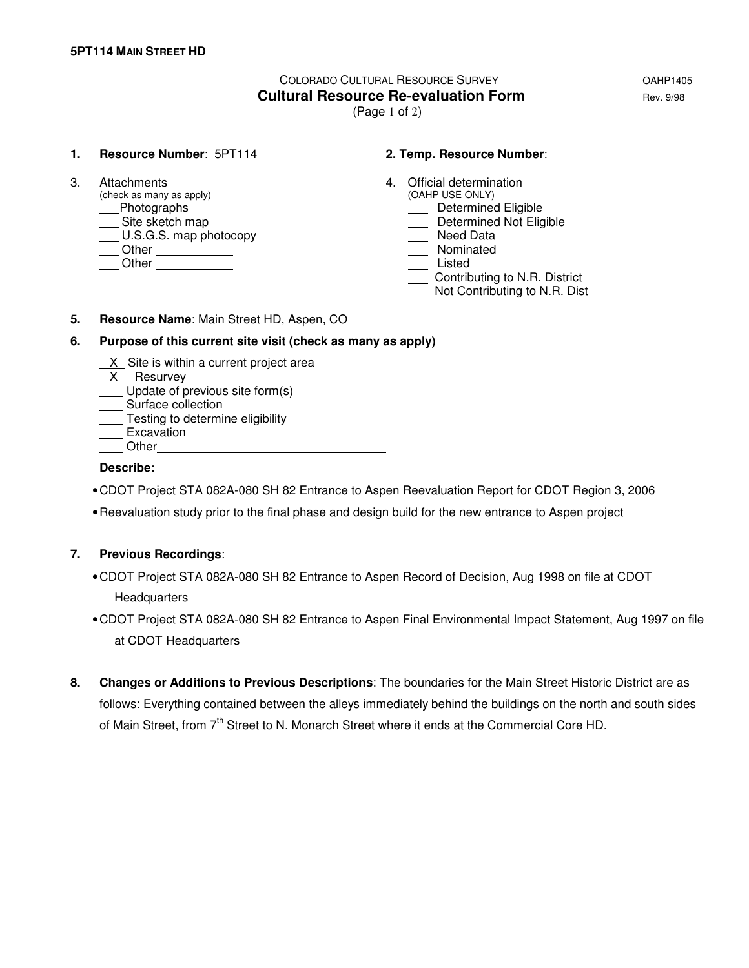# COLORADO CULTURAL RESOURCE SURVEY **COLORADO COLORADO Cultural Resource Re-evaluation Form Cultural Rev. 9/98**

(Page 1 of 2)

### **1. Resource Number**: 5PT114 **2. Temp. Resource Number**:

 $(check as many as apply)$ example and the Determined Eligible<br>
Site sketch map<br>
Determined Not Elig  $\underline{\hspace{1cm}}$  U.S.G.S. map photocopy Other Nominated Other Listed

- 3. Attachments 4. Official determination (check as many as apply)  $\overline{a}$  4. Official determination
	- - **Site Sheet** Shot Eligible<br>
		Sheed Data
	-
	-
	-
	- Contributing to N.R. District
	- Not Contributing to N.R. Dist
- **5. Resource Name**: Main Street HD, Aspen, CO

### **6. Purpose of this current site visit (check as many as apply)**

- X Site is within a current project area
- X Resurvey
- Update of previous site form(s)
- Surface collection
- Testing to determine eligibility
- **Excavation**
- **Other**

# **Describe:**

- CDOT Project STA 082A-080 SH 82 Entrance to Aspen Reevaluation Report for CDOT Region 3, 2006
- Reevaluation study prior to the final phase and design build for the new entrance to Aspen project

# **7. Previous Recordings**:

- CDOT Project STA 082A-080 SH 82 Entrance to Aspen Record of Decision, Aug 1998 on file at CDOT Headquarters
- CDOT Project STA 082A-080 SH 82 Entrance to Aspen Final Environmental Impact Statement, Aug 1997 on file at CDOT Headquarters
- **8. Changes or Additions to Previous Descriptions**: The boundaries for the Main Street Historic District are as follows: Everything contained between the alleys immediately behind the buildings on the north and south sides of Main Street, from 7<sup>th</sup> Street to N. Monarch Street where it ends at the Commercial Core HD.